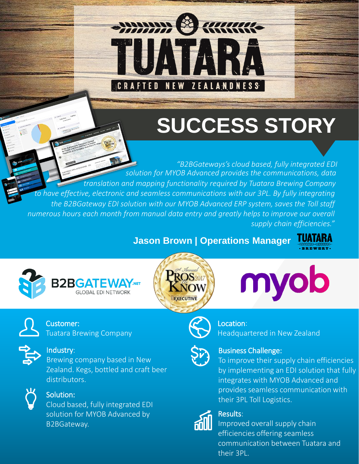

# **SUCCESS STORY**

. *the B2BGateway EDI solution with our MYOB Advanced ERP system, saves the Toll staff "B2BGateways's cloud based, fully integrated EDI solution for MYOB Advanced provides the communications, data translation and mapping functionality required by Tuatara Brewing Company to have effective, electronic and seamless communications with our 3PL. By fully integrating numerous hours each month from manual data entry and greatly helps to improve our overall supply chain efficiencies."*

# **Jason Brown | Operations Manager**









Customer: Tuatara Brewing Company



#### Industry:

Brewing company based in New Zealand. Kegs, bottled and craft beer distributors.



Cloud based, fully integrated EDI solution for MYOB Advanced by B2BGateway.



### Location:

Headquartered in New Zealand



### Business Challenge:

To improve their supply chain efficiencies by implementing an EDI solution that fully integrates with MYOB Advanced and provides seamless communication with Solution:<br>Cloud based, fully integrated EDI states with their 3PL Toll Logistics.



### Results:

Improved overall supply chain efficiencies offering seamless communication between Tuatara and their 3PL.